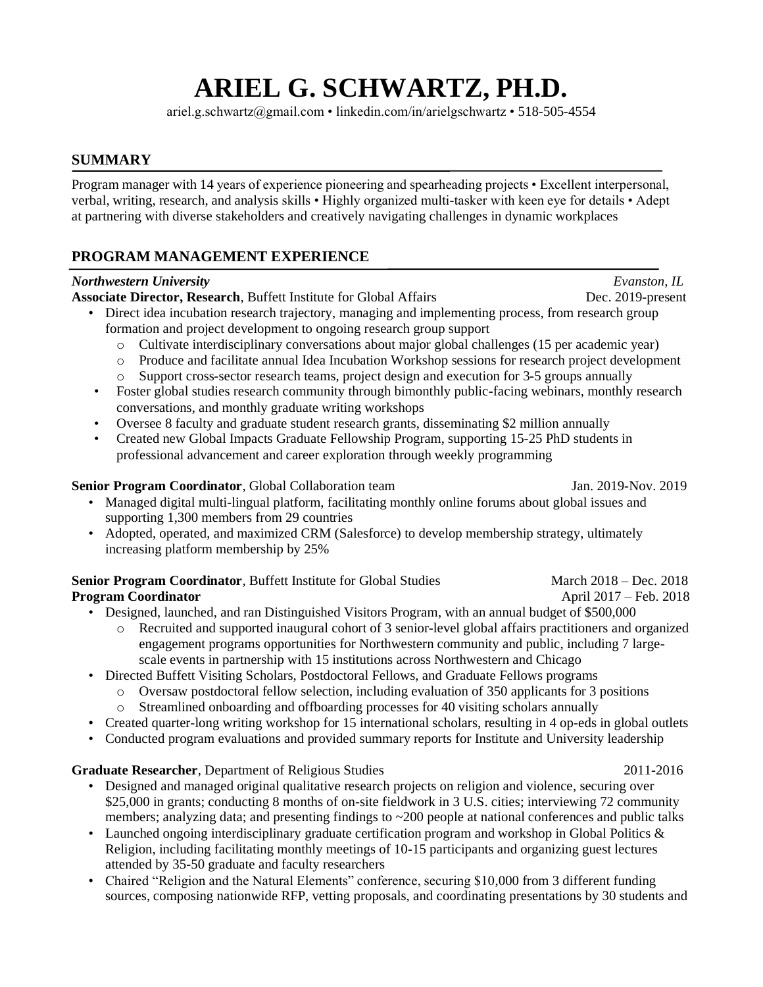# **ARIEL G. SCHWARTZ, PH.D.**

ariel.g.schwartz@gmail.com • linkedin.com/in/arielgschwartz • 518-505-4554

## **SUMMARY**

Program manager with 14 years of experience pioneering and spearheading projects • Excellent interpersonal, verbal, writing, research, and analysis skills • Highly organized multi-tasker with keen eye for details • Adept at partnering with diverse stakeholders and creatively navigating challenges in dynamic workplaces

# **PROGRAM MANAGEMENT EXPERIENCE**

| <b>Northwestern University</b>                                                                                                                      | Evanston, IL           |
|-----------------------------------------------------------------------------------------------------------------------------------------------------|------------------------|
| Associate Director, Research, Buffett Institute for Global Affairs                                                                                  | Dec. 2019-present      |
| Direct idea incubation research trajectory, managing and implementing process, from research group<br>$\bullet$                                     |                        |
| formation and project development to ongoing research group support                                                                                 |                        |
| Cultivate interdisciplinary conversations about major global challenges (15 per academic year)<br>$\circ$                                           |                        |
| Produce and facilitate annual Idea Incubation Workshop sessions for research project development<br>$\circ$                                         |                        |
| Support cross-sector research teams, project design and execution for 3-5 groups annually<br>$\circ$                                                |                        |
| Foster global studies research community through bimonthly public-facing webinars, monthly research<br>$\bullet$                                    |                        |
| conversations, and monthly graduate writing workshops<br>Oversee 8 faculty and graduate student research grants, disseminating \$2 million annually |                        |
| Created new Global Impacts Graduate Fellowship Program, supporting 15-25 PhD students in<br>$\bullet$                                               |                        |
| professional advancement and career exploration through weekly programming                                                                          |                        |
|                                                                                                                                                     |                        |
| Senior Program Coordinator, Global Collaboration team                                                                                               | Jan. 2019-Nov. 2019    |
| Managed digital multi-lingual platform, facilitating monthly online forums about global issues and                                                  |                        |
| supporting 1,300 members from 29 countries                                                                                                          |                        |
| Adopted, operated, and maximized CRM (Salesforce) to develop membership strategy, ultimately                                                        |                        |
| increasing platform membership by 25%                                                                                                               |                        |
| Senior Program Coordinator, Buffett Institute for Global Studies                                                                                    | March 2018 - Dec. 2018 |
| <b>Program Coordinator</b>                                                                                                                          | April 2017 – Feb. 2018 |
| Designed, launched, and ran Distinguished Visitors Program, with an annual budget of \$500,000                                                      |                        |
| Recruited and supported inaugural cohort of 3 senior-level global affairs practitioners and organized<br>$\circ$                                    |                        |
| engagement programs opportunities for Northwestern community and public, including 7 large-                                                         |                        |
| scale events in partnership with 15 institutions across Northwestern and Chicago                                                                    |                        |
| Directed Buffett Visiting Scholars, Postdoctoral Fellows, and Graduate Fellows programs                                                             |                        |
| Oversaw postdoctoral fellow selection, including evaluation of 350 applicants for 3 positions<br>$\circ$                                            |                        |
| Streamlined onboarding and offboarding processes for 40 visiting scholars annually<br>$\circ$                                                       |                        |
| Created quarter-long writing workshop for 15 international scholars, resulting in 4 op-eds in global outlets                                        |                        |
| Conducted program evaluations and provided summary reports for Institute and University leadership<br>$\bullet$                                     |                        |
| Graduate Researcher, Department of Religious Studies                                                                                                | 2011-2016              |
| Designed and managed original qualitative research projects on religion and violence, securing over                                                 |                        |
| \$25,000 in grants; conducting 8 months of on-site fieldwork in 3 U.S. cities; interviewing 72 community                                            |                        |
| members; analyzing data; and presenting findings to $\sim$ 200 people at national conferences and public talks                                      |                        |
| Launched ongoing interdisciplinary graduate certification program and workshop in Global Politics &                                                 |                        |
| Religion, including facilitating monthly meetings of 10-15 participants and organizing guest lectures                                               |                        |
| attended by 35-50 graduate and faculty researchers                                                                                                  |                        |

• Chaired "Religion and the Natural Elements" conference, securing \$10,000 from 3 different funding sources, composing nationwide RFP, vetting proposals, and coordinating presentations by 30 students and